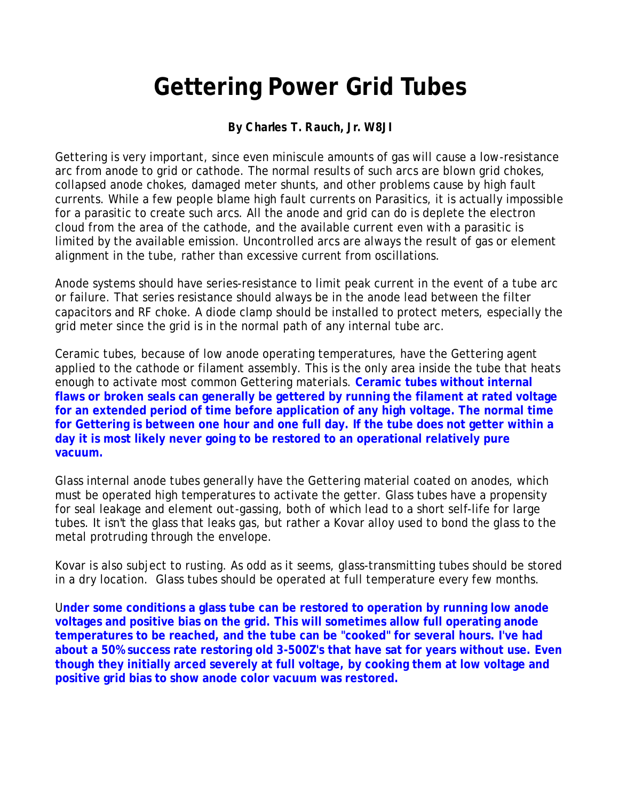## **Gettering Power Grid Tubes**

## **By Charles T. Rauch, Jr. W8JI**

Gettering is very important, since even miniscule amounts of gas will cause a low-resistance arc from anode to grid or cathode. The normal results of such arcs are blown grid chokes, collapsed anode chokes, damaged meter shunts, and other problems cause by high fault currents. While a few people blame high fault currents on Parasitics, it is actually impossible for a parasitic to create such arcs. All the anode and grid can do is deplete the electron cloud from the area of the cathode, and the available current even with a parasitic is limited by the available emission. Uncontrolled arcs are always the result of gas or element alignment in the tube, rather than excessive current from oscillations.

Anode systems should have series-resistance to limit peak current in the event of a tube arc or failure. That series resistance should always be in the anode lead between the filter capacitors and RF choke. A diode clamp should be installed to protect meters, especially the grid meter since the grid is in the normal path of any internal tube arc.

Ceramic tubes, because of low anode operating temperatures, have the Gettering agent applied to the cathode or filament assembly. This is the only area inside the tube that heats enough to activate most common Gettering materials. **Ceramic tubes without internal flaws or broken seals can generally be gettered by running the filament at rated voltage for an extended period of time before application of any high voltage. The normal time for Gettering is between one hour and one full day. If the tube does not getter within a day it is most likely never going to be restored to an operational relatively pure vacuum.** 

Glass internal anode tubes generally have the Gettering material coated on anodes, which must be operated high temperatures to activate the getter. Glass tubes have a propensity for seal leakage and element out-gassing, both of which lead to a short self-life for large tubes. It isn't the glass that leaks gas, but rather a Kovar alloy used to bond the glass to the metal protruding through the envelope.

Kovar is also subject to rusting. As odd as it seems, glass-transmitting tubes should be stored in a dry location. Glass tubes should be operated at full temperature every few months.

U**nder some conditions a glass tube can be restored to operation by running low anode voltages and positive bias on the grid. This will sometimes allow full operating anode temperatures to be reached, and the tube can be "cooked" for several hours. I've had about a 50% success rate restoring old 3-500Z's that have sat for years without use. Even though they initially arced severely at full voltage, by cooking them at low voltage and positive grid bias to show anode color vacuum was restored.**